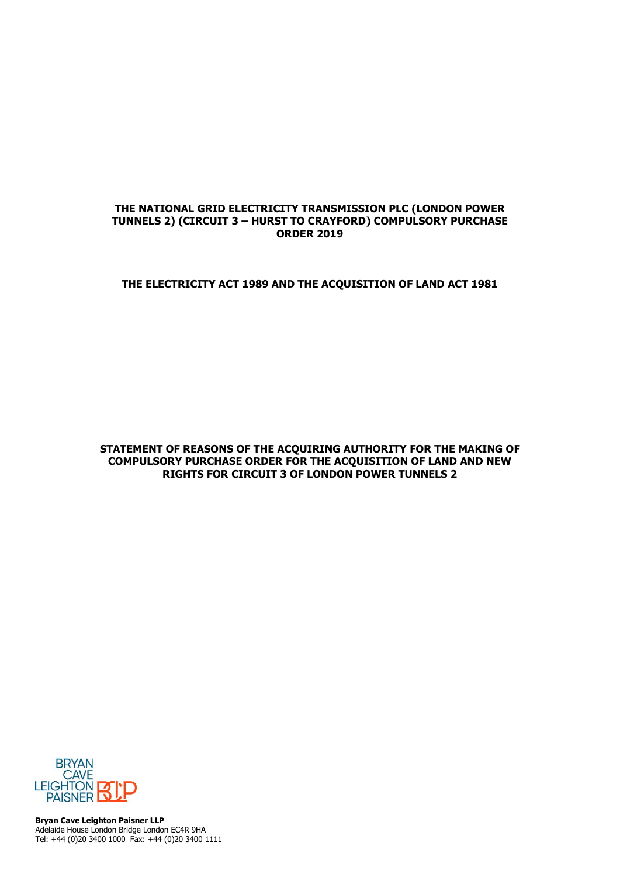## **THE NATIONAL GRID ELECTRICITY TRANSMISSION PLC (LONDON POWER TUNNELS 2) (CIRCUIT 3 – HURST TO CRAYFORD) COMPULSORY PURCHASE ORDER 2019**

## **THE ELECTRICITY ACT 1989 AND THE ACQUISITION OF LAND ACT 1981**

**STATEMENT OF REASONS OF THE ACQUIRING AUTHORITY FOR THE MAKING OF COMPULSORY PURCHASE ORDER FOR THE ACQUISITION OF LAND AND NEW RIGHTS FOR CIRCUIT 3 OF LONDON POWER TUNNELS 2**



**Bryan Cave Leighton Paisner LLP** Adelaide House London Bridge London EC4R 9HA Tel: +44 (0)20 3400 1000 Fax: +44 (0)20 3400 1111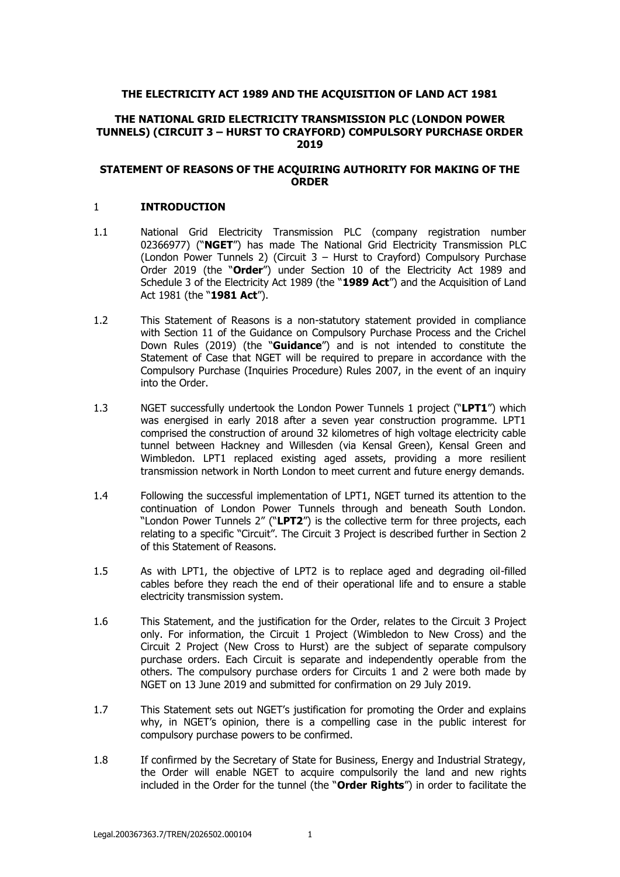## **THE ELECTRICITY ACT 1989 AND THE ACQUISITION OF LAND ACT 1981**

### **THE NATIONAL GRID ELECTRICITY TRANSMISSION PLC (LONDON POWER TUNNELS) (CIRCUIT 3 – HURST TO CRAYFORD) COMPULSORY PURCHASE ORDER 2019**

### **STATEMENT OF REASONS OF THE ACQUIRING AUTHORITY FOR MAKING OF THE ORDER**

### 1 **INTRODUCTION**

- 1.1 National Grid Electricity Transmission PLC (company registration number 02366977) ("**NGET**") has made The National Grid Electricity Transmission PLC (London Power Tunnels 2) (Circuit 3 – Hurst to Crayford) Compulsory Purchase Order 2019 (the "**Order**") under Section 10 of the Electricity Act 1989 and Schedule 3 of the Electricity Act 1989 (the "**1989 Act**") and the Acquisition of Land Act 1981 (the "**1981 Act**").
- 1.2 This Statement of Reasons is a non-statutory statement provided in compliance with Section 11 of the Guidance on Compulsory Purchase Process and the Crichel Down Rules (2019) (the "**Guidance**") and is not intended to constitute the Statement of Case that NGET will be required to prepare in accordance with the Compulsory Purchase (Inquiries Procedure) Rules 2007, in the event of an inquiry into the Order.
- 1.3 NGET successfully undertook the London Power Tunnels 1 project ("**LPT1**") which was energised in early 2018 after a seven year construction programme. LPT1 comprised the construction of around 32 kilometres of high voltage electricity cable tunnel between Hackney and Willesden (via Kensal Green), Kensal Green and Wimbledon. LPT1 replaced existing aged assets, providing a more resilient transmission network in North London to meet current and future energy demands.
- 1.4 Following the successful implementation of LPT1, NGET turned its attention to the continuation of London Power Tunnels through and beneath South London. "London Power Tunnels 2" ("**LPT2**") is the collective term for three projects, each relating to a specific "Circuit". The Circuit 3 Project is described further in Section 2 of this Statement of Reasons.
- 1.5 As with LPT1, the objective of LPT2 is to replace aged and degrading oil-filled cables before they reach the end of their operational life and to ensure a stable electricity transmission system.
- 1.6 This Statement, and the justification for the Order, relates to the Circuit 3 Project only. For information, the Circuit 1 Project (Wimbledon to New Cross) and the Circuit 2 Project (New Cross to Hurst) are the subject of separate compulsory purchase orders. Each Circuit is separate and independently operable from the others. The compulsory purchase orders for Circuits 1 and 2 were both made by NGET on 13 June 2019 and submitted for confirmation on 29 July 2019.
- 1.7 This Statement sets out NGET's justification for promoting the Order and explains why, in NGET's opinion, there is a compelling case in the public interest for compulsory purchase powers to be confirmed.
- 1.8 If confirmed by the Secretary of State for Business, Energy and Industrial Strategy, the Order will enable NGET to acquire compulsorily the land and new rights included in the Order for the tunnel (the "**Order Rights**") in order to facilitate the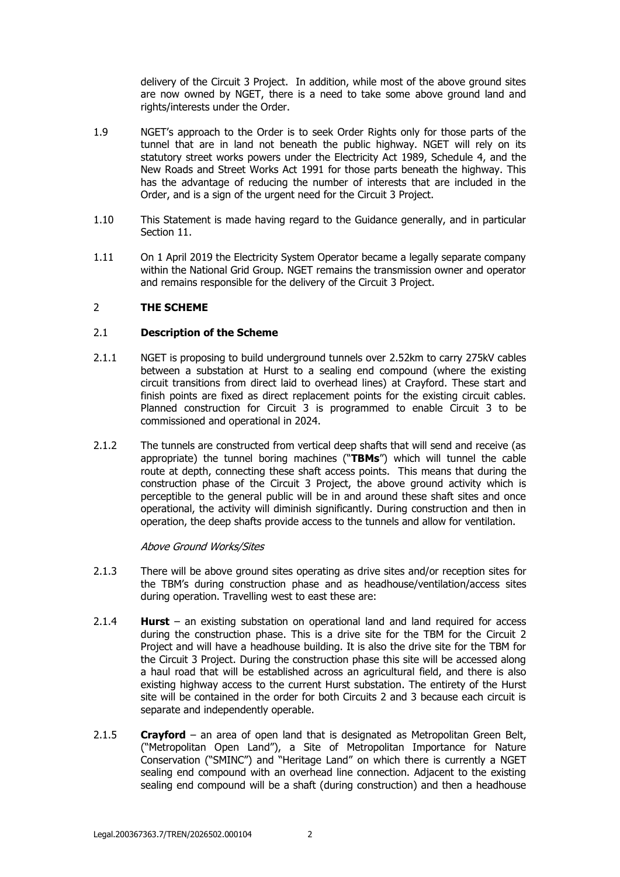delivery of the Circuit 3 Project. In addition, while most of the above ground sites are now owned by NGET, there is a need to take some above ground land and rights/interests under the Order.

- 1.9 NGET's approach to the Order is to seek Order Rights only for those parts of the tunnel that are in land not beneath the public highway. NGET will rely on its statutory street works powers under the Electricity Act 1989, Schedule 4, and the New Roads and Street Works Act 1991 for those parts beneath the highway. This has the advantage of reducing the number of interests that are included in the Order, and is a sign of the urgent need for the Circuit 3 Project.
- 1.10 This Statement is made having regard to the Guidance generally, and in particular Section 11.
- 1.11 On 1 April 2019 the Electricity System Operator became a legally separate company within the National Grid Group. NGET remains the transmission owner and operator and remains responsible for the delivery of the Circuit 3 Project.

## 2 **THE SCHEME**

## 2.1 **Description of the Scheme**

- 2.1.1 NGET is proposing to build underground tunnels over 2.52km to carry 275kV cables between a substation at Hurst to a sealing end compound (where the existing circuit transitions from direct laid to overhead lines) at Crayford. These start and finish points are fixed as direct replacement points for the existing circuit cables. Planned construction for Circuit 3 is programmed to enable Circuit 3 to be commissioned and operational in 2024.
- 2.1.2 The tunnels are constructed from vertical deep shafts that will send and receive (as appropriate) the tunnel boring machines ("**TBMs**") which will tunnel the cable route at depth, connecting these shaft access points. This means that during the construction phase of the Circuit 3 Project, the above ground activity which is perceptible to the general public will be in and around these shaft sites and once operational, the activity will diminish significantly. During construction and then in operation, the deep shafts provide access to the tunnels and allow for ventilation.

## Above Ground Works/Sites

- 2.1.3 There will be above ground sites operating as drive sites and/or reception sites for the TBM's during construction phase and as headhouse/ventilation/access sites during operation. Travelling west to east these are:
- 2.1.4 **Hurst** an existing substation on operational land and land required for access during the construction phase. This is a drive site for the TBM for the Circuit 2 Project and will have a headhouse building. It is also the drive site for the TBM for the Circuit 3 Project. During the construction phase this site will be accessed along a haul road that will be established across an agricultural field, and there is also existing highway access to the current Hurst substation. The entirety of the Hurst site will be contained in the order for both Circuits 2 and 3 because each circuit is separate and independently operable.
- 2.1.5 **Crayford** an area of open land that is designated as Metropolitan Green Belt, ("Metropolitan Open Land"), a Site of Metropolitan Importance for Nature Conservation ("SMINC") and "Heritage Land" on which there is currently a NGET sealing end compound with an overhead line connection. Adjacent to the existing sealing end compound will be a shaft (during construction) and then a headhouse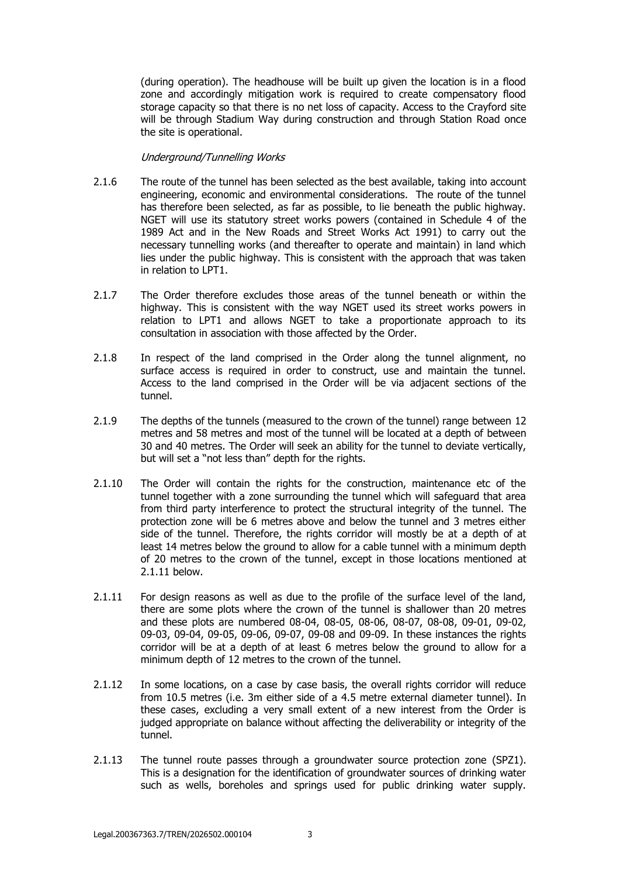(during operation). The headhouse will be built up given the location is in a flood zone and accordingly mitigation work is required to create compensatory flood storage capacity so that there is no net loss of capacity. Access to the Crayford site will be through Stadium Way during construction and through Station Road once the site is operational.

## Underground/Tunnelling Works

- 2.1.6 The route of the tunnel has been selected as the best available, taking into account engineering, economic and environmental considerations. The route of the tunnel has therefore been selected, as far as possible, to lie beneath the public highway. NGET will use its statutory street works powers (contained in Schedule 4 of the 1989 Act and in the New Roads and Street Works Act 1991) to carry out the necessary tunnelling works (and thereafter to operate and maintain) in land which lies under the public highway. This is consistent with the approach that was taken in relation to LPT1.
- 2.1.7 The Order therefore excludes those areas of the tunnel beneath or within the highway. This is consistent with the way NGET used its street works powers in relation to LPT1 and allows NGET to take a proportionate approach to its consultation in association with those affected by the Order.
- 2.1.8 In respect of the land comprised in the Order along the tunnel alignment, no surface access is required in order to construct, use and maintain the tunnel. Access to the land comprised in the Order will be via adjacent sections of the tunnel.
- 2.1.9 The depths of the tunnels (measured to the crown of the tunnel) range between 12 metres and 58 metres and most of the tunnel will be located at a depth of between 30 and 40 metres. The Order will seek an ability for the tunnel to deviate vertically, but will set a "not less than" depth for the rights.
- 2.1.10 The Order will contain the rights for the construction, maintenance etc of the tunnel together with a zone surrounding the tunnel which will safeguard that area from third party interference to protect the structural integrity of the tunnel. The protection zone will be 6 metres above and below the tunnel and 3 metres either side of the tunnel. Therefore, the rights corridor will mostly be at a depth of at least 14 metres below the ground to allow for a cable tunnel with a minimum depth of 20 metres to the crown of the tunnel, except in those locations mentioned at 2.1.11 below.
- 2.1.11 For design reasons as well as due to the profile of the surface level of the land, there are some plots where the crown of the tunnel is shallower than 20 metres and these plots are numbered 08-04, 08-05, 08-06, 08-07, 08-08, 09-01, 09-02, 09-03, 09-04, 09-05, 09-06, 09-07, 09-08 and 09-09. In these instances the rights corridor will be at a depth of at least 6 metres below the ground to allow for a minimum depth of 12 metres to the crown of the tunnel.
- 2.1.12 In some locations, on a case by case basis, the overall rights corridor will reduce from 10.5 metres (i.e. 3m either side of a 4.5 metre external diameter tunnel). In these cases, excluding a very small extent of a new interest from the Order is judged appropriate on balance without affecting the deliverability or integrity of the tunnel.
- 2.1.13 The tunnel route passes through a groundwater source protection zone (SPZ1). This is a designation for the identification of groundwater sources of drinking water such as wells, boreholes and springs used for public drinking water supply.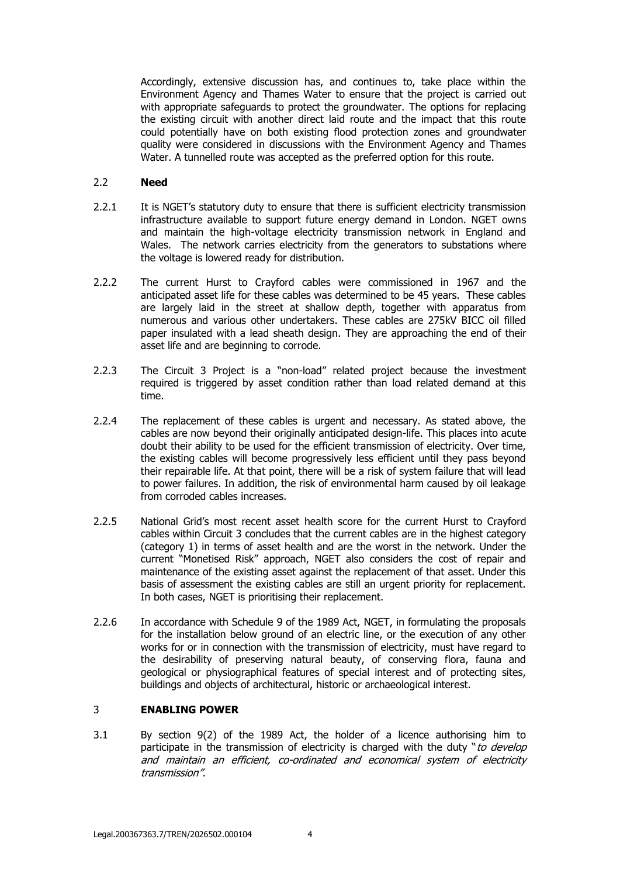Accordingly, extensive discussion has, and continues to, take place within the Environment Agency and Thames Water to ensure that the project is carried out with appropriate safeguards to protect the groundwater. The options for replacing the existing circuit with another direct laid route and the impact that this route could potentially have on both existing flood protection zones and groundwater quality were considered in discussions with the Environment Agency and Thames Water. A tunnelled route was accepted as the preferred option for this route.

## 2.2 **Need**

- 2.2.1 It is NGET's statutory duty to ensure that there is sufficient electricity transmission infrastructure available to support future energy demand in London. NGET owns and maintain the high-voltage electricity transmission network in England and Wales. The network carries electricity from the generators to substations where the voltage is lowered ready for distribution.
- 2.2.2 The current Hurst to Crayford cables were commissioned in 1967 and the anticipated asset life for these cables was determined to be 45 years. These cables are largely laid in the street at shallow depth, together with apparatus from numerous and various other undertakers. These cables are 275kV BICC oil filled paper insulated with a lead sheath design. They are approaching the end of their asset life and are beginning to corrode.
- 2.2.3 The Circuit 3 Project is a "non-load" related project because the investment required is triggered by asset condition rather than load related demand at this time.
- 2.2.4 The replacement of these cables is urgent and necessary. As stated above, the cables are now beyond their originally anticipated design-life. This places into acute doubt their ability to be used for the efficient transmission of electricity. Over time, the existing cables will become progressively less efficient until they pass beyond their repairable life. At that point, there will be a risk of system failure that will lead to power failures. In addition, the risk of environmental harm caused by oil leakage from corroded cables increases.
- 2.2.5 National Grid's most recent asset health score for the current Hurst to Crayford cables within Circuit 3 concludes that the current cables are in the highest category (category 1) in terms of asset health and are the worst in the network. Under the current "Monetised Risk" approach, NGET also considers the cost of repair and maintenance of the existing asset against the replacement of that asset. Under this basis of assessment the existing cables are still an urgent priority for replacement. In both cases, NGET is prioritising their replacement.
- 2.2.6 In accordance with Schedule 9 of the 1989 Act, NGET, in formulating the proposals for the installation below ground of an electric line, or the execution of any other works for or in connection with the transmission of electricity, must have regard to the desirability of preserving natural beauty, of conserving flora, fauna and geological or physiographical features of special interest and of protecting sites, buildings and objects of architectural, historic or archaeological interest.

## 3 **ENABLING POWER**

3.1 By section 9(2) of the 1989 Act, the holder of a licence authorising him to participate in the transmission of electricity is charged with the duty "to develop and maintain an efficient, co-ordinated and economical system of electricity transmission".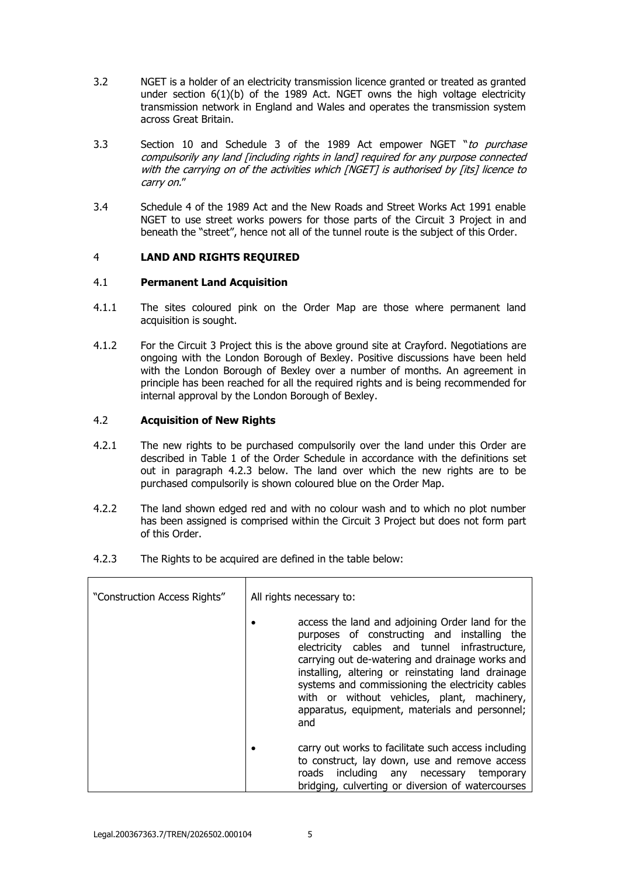- 3.2 NGET is a holder of an electricity transmission licence granted or treated as granted under section 6(1)(b) of the 1989 Act. NGET owns the high voltage electricity transmission network in England and Wales and operates the transmission system across Great Britain.
- 3.3 Section 10 and Schedule 3 of the 1989 Act empower NGET "to purchase compulsorily any land [including rights in land] required for any purpose connected with the carrying on of the activities which [NGET] is authorised by [its] licence to carry on."
- 3.4 Schedule 4 of the 1989 Act and the New Roads and Street Works Act 1991 enable NGET to use street works powers for those parts of the Circuit 3 Project in and beneath the "street", hence not all of the tunnel route is the subject of this Order.

## 4 **LAND AND RIGHTS REQUIRED**

### 4.1 **Permanent Land Acquisition**

- 4.1.1 The sites coloured pink on the Order Map are those where permanent land acquisition is sought.
- 4.1.2 For the Circuit 3 Project this is the above ground site at Crayford. Negotiations are ongoing with the London Borough of Bexley. Positive discussions have been held with the London Borough of Bexley over a number of months. An agreement in principle has been reached for all the required rights and is being recommended for internal approval by the London Borough of Bexley.

### 4.2 **Acquisition of New Rights**

- 4.2.1 The new rights to be purchased compulsorily over the land under this Order are described in Table 1 of the Order Schedule in accordance with the definitions set out in paragraph 4.2.3 below. The land over which the new rights are to be purchased compulsorily is shown coloured blue on the Order Map.
- 4.2.2 The land shown edged red and with no colour wash and to which no plot number has been assigned is comprised within the Circuit 3 Project but does not form part of this Order.
- 4.2.3 The Rights to be acquired are defined in the table below:

| "Construction Access Rights" | All rights necessary to:                                                                                                                                                                                                                                                                                                                                                                                             |
|------------------------------|----------------------------------------------------------------------------------------------------------------------------------------------------------------------------------------------------------------------------------------------------------------------------------------------------------------------------------------------------------------------------------------------------------------------|
|                              | access the land and adjoining Order land for the<br>purposes of constructing and installing the<br>electricity cables and tunnel infrastructure,<br>carrying out de-watering and drainage works and<br>installing, altering or reinstating land drainage<br>systems and commissioning the electricity cables<br>with or without vehicles, plant, machinery,<br>apparatus, equipment, materials and personnel;<br>and |
|                              | carry out works to facilitate such access including<br>to construct, lay down, use and remove access<br>including any necessary temporary<br>roads<br>bridging, culverting or diversion of watercourses                                                                                                                                                                                                              |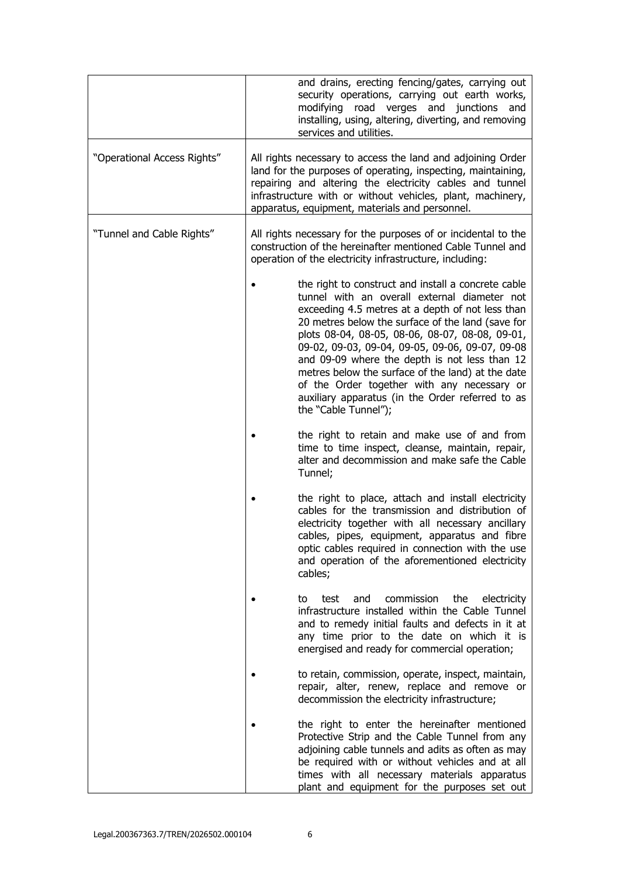|                             | and drains, erecting fencing/gates, carrying out<br>security operations, carrying out earth works,<br>modifying road verges and junctions and<br>installing, using, altering, diverting, and removing<br>services and utilities.                                                                                                                                                                                                                                                                                                                    |
|-----------------------------|-----------------------------------------------------------------------------------------------------------------------------------------------------------------------------------------------------------------------------------------------------------------------------------------------------------------------------------------------------------------------------------------------------------------------------------------------------------------------------------------------------------------------------------------------------|
| "Operational Access Rights" | All rights necessary to access the land and adjoining Order<br>land for the purposes of operating, inspecting, maintaining,<br>repairing and altering the electricity cables and tunnel<br>infrastructure with or without vehicles, plant, machinery,<br>apparatus, equipment, materials and personnel.                                                                                                                                                                                                                                             |
| "Tunnel and Cable Rights"   | All rights necessary for the purposes of or incidental to the<br>construction of the hereinafter mentioned Cable Tunnel and<br>operation of the electricity infrastructure, including:                                                                                                                                                                                                                                                                                                                                                              |
|                             | the right to construct and install a concrete cable<br>tunnel with an overall external diameter not<br>exceeding 4.5 metres at a depth of not less than<br>20 metres below the surface of the land (save for<br>plots 08-04, 08-05, 08-06, 08-07, 08-08, 09-01,<br>09-02, 09-03, 09-04, 09-05, 09-06, 09-07, 09-08<br>and 09-09 where the depth is not less than 12<br>metres below the surface of the land) at the date<br>of the Order together with any necessary or<br>auxiliary apparatus (in the Order referred to as<br>the "Cable Tunnel"); |
|                             | the right to retain and make use of and from<br>time to time inspect, cleanse, maintain, repair,<br>alter and decommission and make safe the Cable<br>Tunnel;                                                                                                                                                                                                                                                                                                                                                                                       |
|                             | the right to place, attach and install electricity<br>cables for the transmission and distribution of<br>electricity together with all necessary ancillary<br>cables, pipes, equipment, apparatus and fibre<br>optic cables required in connection with the use<br>and operation of the aforementioned electricity<br>cables;                                                                                                                                                                                                                       |
|                             | commission<br>and<br>the<br>electricity<br>test<br>to<br>infrastructure installed within the Cable Tunnel<br>and to remedy initial faults and defects in it at<br>any time prior to the date on which it is<br>energised and ready for commercial operation;                                                                                                                                                                                                                                                                                        |
|                             | to retain, commission, operate, inspect, maintain,<br>repair, alter, renew, replace and remove or<br>decommission the electricity infrastructure;                                                                                                                                                                                                                                                                                                                                                                                                   |
|                             | the right to enter the hereinafter mentioned<br>Protective Strip and the Cable Tunnel from any<br>adjoining cable tunnels and adits as often as may<br>be required with or without vehicles and at all<br>times with all necessary materials apparatus<br>plant and equipment for the purposes set out                                                                                                                                                                                                                                              |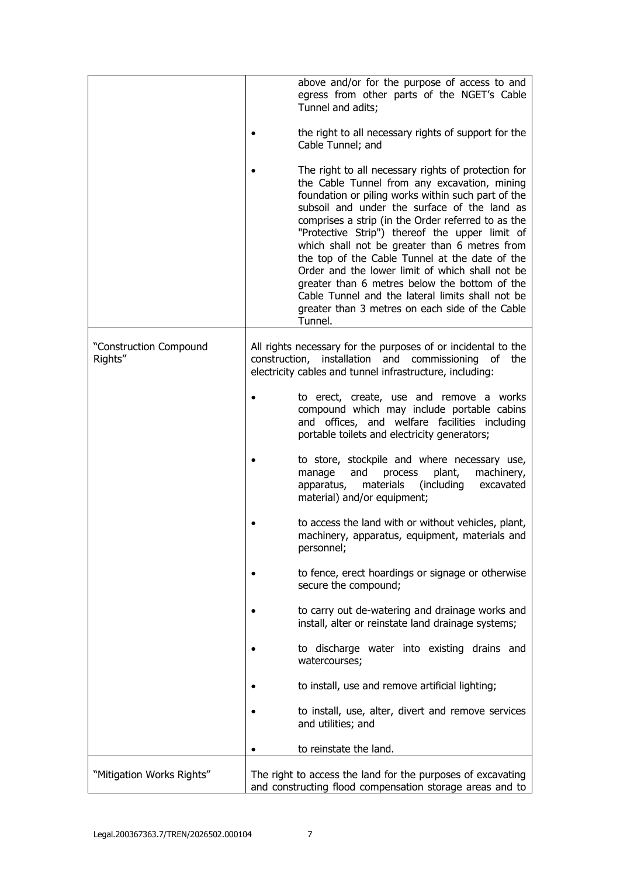|                                   | above and/or for the purpose of access to and<br>egress from other parts of the NGET's Cable<br>Tunnel and adits;                                                                                                                                                                                                                                                                                                                                                                                                                                                                                                                          |
|-----------------------------------|--------------------------------------------------------------------------------------------------------------------------------------------------------------------------------------------------------------------------------------------------------------------------------------------------------------------------------------------------------------------------------------------------------------------------------------------------------------------------------------------------------------------------------------------------------------------------------------------------------------------------------------------|
|                                   | the right to all necessary rights of support for the<br>Cable Tunnel; and                                                                                                                                                                                                                                                                                                                                                                                                                                                                                                                                                                  |
|                                   | The right to all necessary rights of protection for<br>the Cable Tunnel from any excavation, mining<br>foundation or piling works within such part of the<br>subsoil and under the surface of the land as<br>comprises a strip (in the Order referred to as the<br>"Protective Strip") thereof the upper limit of<br>which shall not be greater than 6 metres from<br>the top of the Cable Tunnel at the date of the<br>Order and the lower limit of which shall not be<br>greater than 6 metres below the bottom of the<br>Cable Tunnel and the lateral limits shall not be<br>greater than 3 metres on each side of the Cable<br>Tunnel. |
| "Construction Compound<br>Rights" | All rights necessary for the purposes of or incidental to the<br>construction, installation and commissioning<br>of the<br>electricity cables and tunnel infrastructure, including:                                                                                                                                                                                                                                                                                                                                                                                                                                                        |
|                                   | to erect, create, use and remove a works<br>compound which may include portable cabins<br>and offices, and welfare facilities including<br>portable toilets and electricity generators;                                                                                                                                                                                                                                                                                                                                                                                                                                                    |
|                                   | to store, stockpile and where necessary use,<br>plant,<br>machinery,<br>manage<br>and<br>process<br>materials (including<br>excavated<br>apparatus,<br>material) and/or equipment;                                                                                                                                                                                                                                                                                                                                                                                                                                                         |
|                                   | to access the land with or without vehicles, plant,<br>machinery, apparatus, equipment, materials and<br>personnel;                                                                                                                                                                                                                                                                                                                                                                                                                                                                                                                        |
|                                   | to fence, erect hoardings or signage or otherwise<br>secure the compound;                                                                                                                                                                                                                                                                                                                                                                                                                                                                                                                                                                  |
|                                   | to carry out de-watering and drainage works and<br>install, alter or reinstate land drainage systems;                                                                                                                                                                                                                                                                                                                                                                                                                                                                                                                                      |
|                                   | to discharge water into existing drains and<br>watercourses;                                                                                                                                                                                                                                                                                                                                                                                                                                                                                                                                                                               |
|                                   | to install, use and remove artificial lighting;                                                                                                                                                                                                                                                                                                                                                                                                                                                                                                                                                                                            |
|                                   | to install, use, alter, divert and remove services<br>and utilities; and                                                                                                                                                                                                                                                                                                                                                                                                                                                                                                                                                                   |
|                                   | to reinstate the land.                                                                                                                                                                                                                                                                                                                                                                                                                                                                                                                                                                                                                     |
| "Mitigation Works Rights"         | The right to access the land for the purposes of excavating<br>and constructing flood compensation storage areas and to                                                                                                                                                                                                                                                                                                                                                                                                                                                                                                                    |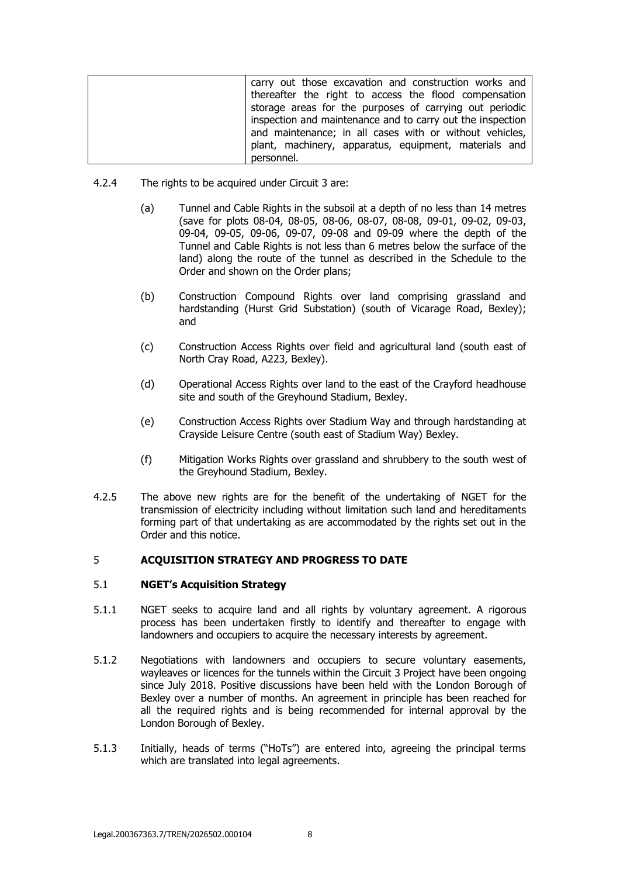| carry out those excavation and construction works and      |
|------------------------------------------------------------|
| thereafter the right to access the flood compensation      |
| storage areas for the purposes of carrying out periodic    |
| inspection and maintenance and to carry out the inspection |
| and maintenance; in all cases with or without vehicles,    |
| plant, machinery, apparatus, equipment, materials and      |
| personnel.                                                 |

- 4.2.4 The rights to be acquired under Circuit 3 are:
	- (a) Tunnel and Cable Rights in the subsoil at a depth of no less than 14 metres (save for plots 08-04, 08-05, 08-06, 08-07, 08-08, 09-01, 09-02, 09-03, 09-04, 09-05, 09-06, 09-07, 09-08 and 09-09 where the depth of the Tunnel and Cable Rights is not less than 6 metres below the surface of the land) along the route of the tunnel as described in the Schedule to the Order and shown on the Order plans;
	- (b) Construction Compound Rights over land comprising grassland and hardstanding (Hurst Grid Substation) (south of Vicarage Road, Bexley); and
	- (c) Construction Access Rights over field and agricultural land (south east of North Cray Road, A223, Bexley).
	- (d) Operational Access Rights over land to the east of the Crayford headhouse site and south of the Greyhound Stadium, Bexley.
	- (e) Construction Access Rights over Stadium Way and through hardstanding at Crayside Leisure Centre (south east of Stadium Way) Bexley.
	- (f) Mitigation Works Rights over grassland and shrubbery to the south west of the Greyhound Stadium, Bexley.
- 4.2.5 The above new rights are for the benefit of the undertaking of NGET for the transmission of electricity including without limitation such land and hereditaments forming part of that undertaking as are accommodated by the rights set out in the Order and this notice.

# 5 **ACQUISITION STRATEGY AND PROGRESS TO DATE**

## 5.1 **NGET's Acquisition Strategy**

- 5.1.1 NGET seeks to acquire land and all rights by voluntary agreement. A rigorous process has been undertaken firstly to identify and thereafter to engage with landowners and occupiers to acquire the necessary interests by agreement.
- 5.1.2 Negotiations with landowners and occupiers to secure voluntary easements, wayleaves or licences for the tunnels within the Circuit 3 Project have been ongoing since July 2018. Positive discussions have been held with the London Borough of Bexley over a number of months. An agreement in principle has been reached for all the required rights and is being recommended for internal approval by the London Borough of Bexley.
- 5.1.3 Initially, heads of terms ("HoTs") are entered into, agreeing the principal terms which are translated into legal agreements.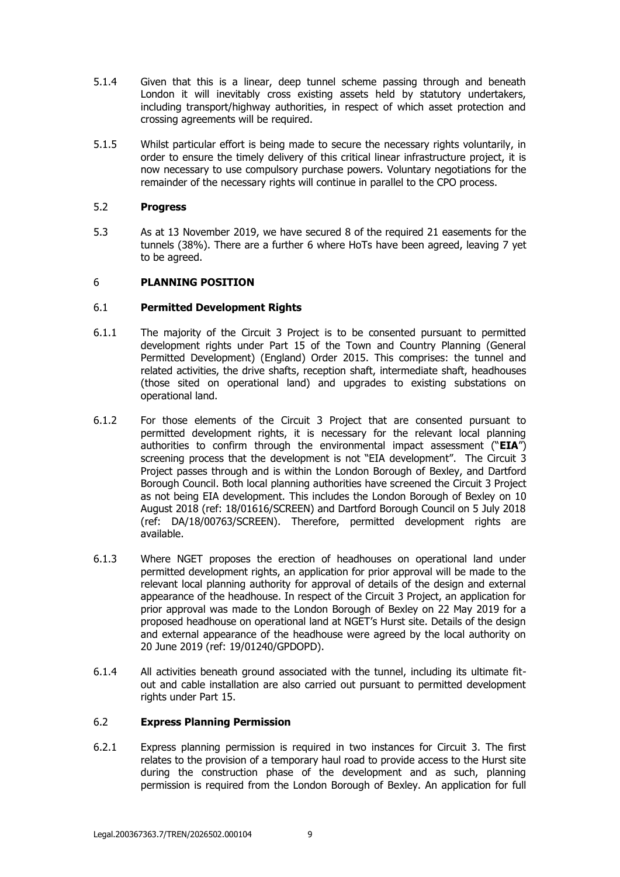- 5.1.4 Given that this is a linear, deep tunnel scheme passing through and beneath London it will inevitably cross existing assets held by statutory undertakers, including transport/highway authorities, in respect of which asset protection and crossing agreements will be required.
- 5.1.5 Whilst particular effort is being made to secure the necessary rights voluntarily, in order to ensure the timely delivery of this critical linear infrastructure project, it is now necessary to use compulsory purchase powers. Voluntary negotiations for the remainder of the necessary rights will continue in parallel to the CPO process.

## 5.2 **Progress**

5.3 As at 13 November 2019, we have secured 8 of the required 21 easements for the tunnels (38%). There are a further 6 where HoTs have been agreed, leaving 7 yet to be agreed.

## 6 **PLANNING POSITION**

## 6.1 **Permitted Development Rights**

- 6.1.1 The majority of the Circuit 3 Project is to be consented pursuant to permitted development rights under Part 15 of the Town and Country Planning (General Permitted Development) (England) Order 2015. This comprises: the tunnel and related activities, the drive shafts, reception shaft, intermediate shaft, headhouses (those sited on operational land) and upgrades to existing substations on operational land.
- 6.1.2 For those elements of the Circuit 3 Project that are consented pursuant to permitted development rights, it is necessary for the relevant local planning authorities to confirm through the environmental impact assessment ("**EIA**") screening process that the development is not "EIA development". The Circuit 3 Project passes through and is within the London Borough of Bexley, and Dartford Borough Council. Both local planning authorities have screened the Circuit 3 Project as not being EIA development. This includes the London Borough of Bexley on 10 August 2018 (ref: 18/01616/SCREEN) and Dartford Borough Council on 5 July 2018 (ref: DA/18/00763/SCREEN). Therefore, permitted development rights are available.
- 6.1.3 Where NGET proposes the erection of headhouses on operational land under permitted development rights, an application for prior approval will be made to the relevant local planning authority for approval of details of the design and external appearance of the headhouse. In respect of the Circuit 3 Project, an application for prior approval was made to the London Borough of Bexley on 22 May 2019 for a proposed headhouse on operational land at NGET's Hurst site. Details of the design and external appearance of the headhouse were agreed by the local authority on 20 June 2019 (ref: 19/01240/GPDOPD).
- 6.1.4 All activities beneath ground associated with the tunnel, including its ultimate fitout and cable installation are also carried out pursuant to permitted development rights under Part 15.

## 6.2 **Express Planning Permission**

6.2.1 Express planning permission is required in two instances for Circuit 3. The first relates to the provision of a temporary haul road to provide access to the Hurst site during the construction phase of the development and as such, planning permission is required from the London Borough of Bexley. An application for full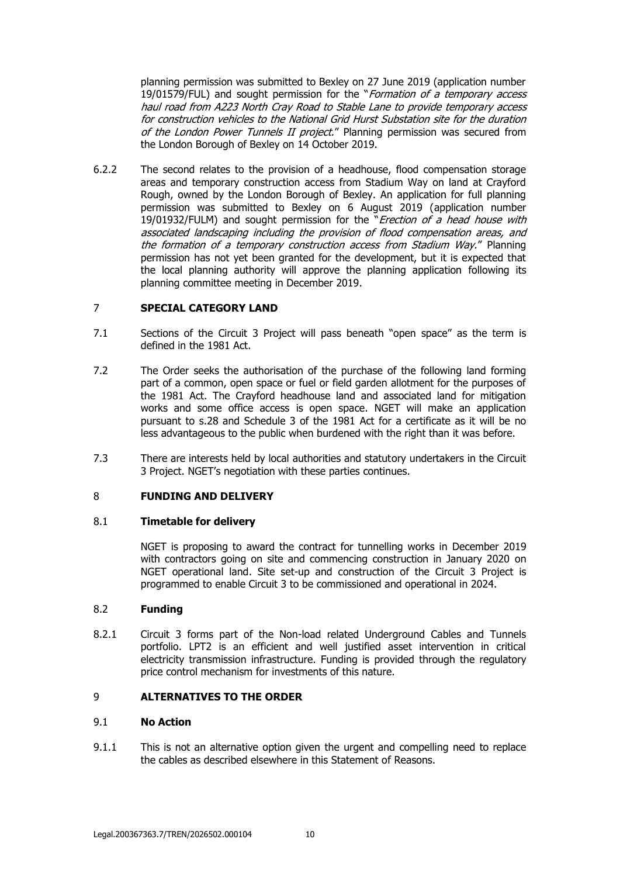planning permission was submitted to Bexley on 27 June 2019 (application number 19/01579/FUL) and sought permission for the "Formation of a temporary access haul road from A223 North Cray Road to Stable Lane to provide temporary access for construction vehicles to the National Grid Hurst Substation site for the duration of the London Power Tunnels II project." Planning permission was secured from the London Borough of Bexley on 14 October 2019.

6.2.2 The second relates to the provision of a headhouse, flood compensation storage areas and temporary construction access from Stadium Way on land at Crayford Rough, owned by the London Borough of Bexley. An application for full planning permission was submitted to Bexley on 6 August 2019 (application number 19/01932/FULM) and sought permission for the "*Erection of a head house with* associated landscaping including the provision of flood compensation areas, and the formation of a temporary construction access from Stadium Way." Planning permission has not yet been granted for the development, but it is expected that the local planning authority will approve the planning application following its planning committee meeting in December 2019.

## 7 **SPECIAL CATEGORY LAND**

- 7.1 Sections of the Circuit 3 Project will pass beneath "open space" as the term is defined in the 1981 Act.
- 7.2 The Order seeks the authorisation of the purchase of the following land forming part of a common, open space or fuel or field garden allotment for the purposes of the 1981 Act. The Crayford headhouse land and associated land for mitigation works and some office access is open space. NGET will make an application pursuant to s.28 and Schedule 3 of the 1981 Act for a certificate as it will be no less advantageous to the public when burdened with the right than it was before.
- 7.3 There are interests held by local authorities and statutory undertakers in the Circuit 3 Project. NGET's negotiation with these parties continues.

## 8 **FUNDING AND DELIVERY**

## 8.1 **Timetable for delivery**

NGET is proposing to award the contract for tunnelling works in December 2019 with contractors going on site and commencing construction in January 2020 on NGET operational land. Site set-up and construction of the Circuit 3 Project is programmed to enable Circuit 3 to be commissioned and operational in 2024.

# 8.2 **Funding**

8.2.1 Circuit 3 forms part of the Non-load related Underground Cables and Tunnels portfolio. LPT2 is an efficient and well justified asset intervention in critical electricity transmission infrastructure. Funding is provided through the regulatory price control mechanism for investments of this nature.

## 9 **ALTERNATIVES TO THE ORDER**

#### 9.1 **No Action**

9.1.1 This is not an alternative option given the urgent and compelling need to replace the cables as described elsewhere in this Statement of Reasons.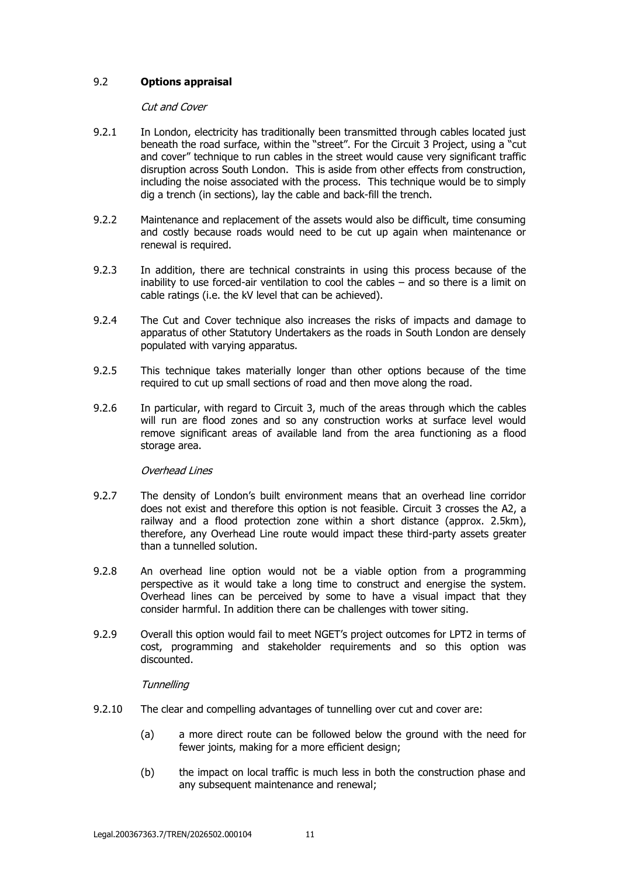# 9.2 **Options appraisal**

### Cut and Cover

- 9.2.1 In London, electricity has traditionally been transmitted through cables located just beneath the road surface, within the "street". For the Circuit 3 Project, using a "cut and cover" technique to run cables in the street would cause very significant traffic disruption across South London. This is aside from other effects from construction, including the noise associated with the process. This technique would be to simply dig a trench (in sections), lay the cable and back-fill the trench.
- 9.2.2 Maintenance and replacement of the assets would also be difficult, time consuming and costly because roads would need to be cut up again when maintenance or renewal is required.
- 9.2.3 In addition, there are technical constraints in using this process because of the inability to use forced-air ventilation to cool the cables – and so there is a limit on cable ratings (i.e. the kV level that can be achieved).
- 9.2.4 The Cut and Cover technique also increases the risks of impacts and damage to apparatus of other Statutory Undertakers as the roads in South London are densely populated with varying apparatus.
- 9.2.5 This technique takes materially longer than other options because of the time required to cut up small sections of road and then move along the road.
- 9.2.6 In particular, with regard to Circuit 3, much of the areas through which the cables will run are flood zones and so any construction works at surface level would remove significant areas of available land from the area functioning as a flood storage area.

#### Overhead Lines

- 9.2.7 The density of London's built environment means that an overhead line corridor does not exist and therefore this option is not feasible. Circuit 3 crosses the A2, a railway and a flood protection zone within a short distance (approx. 2.5km), therefore, any Overhead Line route would impact these third-party assets greater than a tunnelled solution.
- 9.2.8 An overhead line option would not be a viable option from a programming perspective as it would take a long time to construct and energise the system. Overhead lines can be perceived by some to have a visual impact that they consider harmful. In addition there can be challenges with tower siting.
- 9.2.9 Overall this option would fail to meet NGET's project outcomes for LPT2 in terms of cost, programming and stakeholder requirements and so this option was discounted.

#### **Tunnelling**

- 9.2.10 The clear and compelling advantages of tunnelling over cut and cover are:
	- (a) a more direct route can be followed below the ground with the need for fewer joints, making for a more efficient design;
	- (b) the impact on local traffic is much less in both the construction phase and any subsequent maintenance and renewal;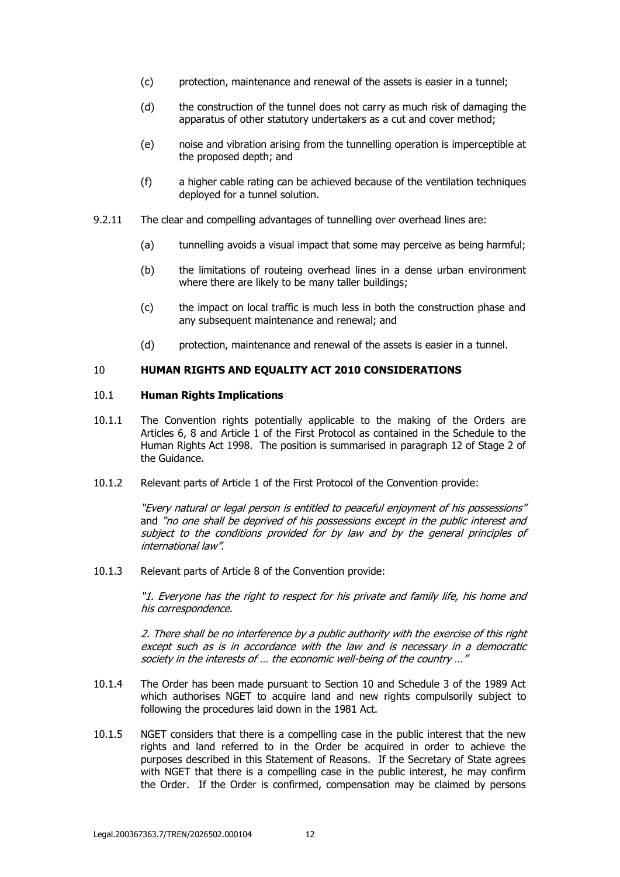- (c) protection, maintenance and renewal of the assets is easier in a tunnel;
- (d) the construction of the tunnel does not carry as much risk of damaging the apparatus of other statutory undertakers as a cut and cover method;
- (e) noise and vibration arising from the tunnelling operation is imperceptible at the proposed depth; and
- (f) a higher cable rating can be achieved because of the ventilation techniques deployed for a tunnel solution.
- 9.2.11 The clear and compelling advantages of tunnelling over overhead lines are:
	- (a) tunnelling avoids a visual impact that some may perceive as being harmful;
	- (b) the limitations of routeing overhead lines in a dense urban environment where there are likely to be many taller buildings;
	- (c) the impact on local traffic is much less in both the construction phase and any subsequent maintenance and renewal; and
	- (d) protection, maintenance and renewal of the assets is easier in a tunnel.

### 10 **HUMAN RIGHTS AND EQUALITY ACT 2010 CONSIDERATIONS**

### 10.1 **Human Rights Implications**

- 10.1.1 The Convention rights potentially applicable to the making of the Orders are Articles 6, 8 and Article 1 of the First Protocol as contained in the Schedule to the Human Rights Act 1998. The position is summarised in paragraph 12 of Stage 2 of the Guidance.
- 10.1.2 Relevant parts of Article 1 of the First Protocol of the Convention provide:

"Every natural or legal person is entitled to peaceful enjoyment of his possessions" and "no one shall be deprived of his possessions except in the public interest and subject to the conditions provided for by law and by the general principles of international law".

10.1.3 Relevant parts of Article 8 of the Convention provide:

"1. Everyone has the right to respect for his private and family life, his home and his correspondence.

2. There shall be no interference by a public authority with the exercise of this right except such as is in accordance with the law and is necessary in a democratic society in the interests of ... the economic well-being of the country ..."

- 10.1.4 The Order has been made pursuant to Section 10 and Schedule 3 of the 1989 Act which authorises NGET to acquire land and new rights compulsorily subject to following the procedures laid down in the 1981 Act.
- 10.1.5 NGET considers that there is a compelling case in the public interest that the new rights and land referred to in the Order be acquired in order to achieve the purposes described in this Statement of Reasons. If the Secretary of State agrees with NGET that there is a compelling case in the public interest, he may confirm the Order. If the Order is confirmed, compensation may be claimed by persons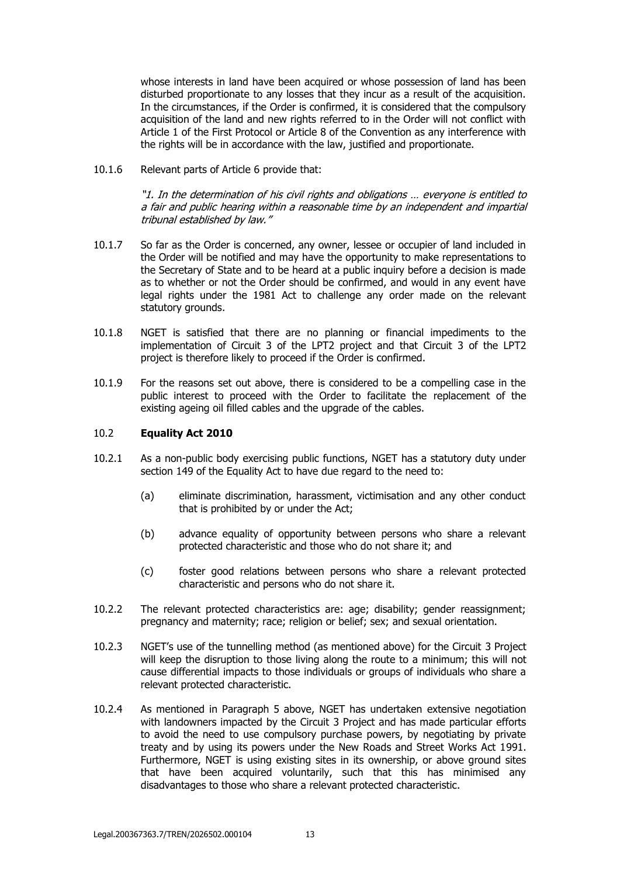whose interests in land have been acquired or whose possession of land has been disturbed proportionate to any losses that they incur as a result of the acquisition. In the circumstances, if the Order is confirmed, it is considered that the compulsory acquisition of the land and new rights referred to in the Order will not conflict with Article 1 of the First Protocol or Article 8 of the Convention as any interference with the rights will be in accordance with the law, justified and proportionate.

10.1.6 Relevant parts of Article 6 provide that:

"1. In the determination of his civil rights and obligations … everyone is entitled to a fair and public hearing within a reasonable time by an independent and impartial tribunal established by law."

- 10.1.7 So far as the Order is concerned, any owner, lessee or occupier of land included in the Order will be notified and may have the opportunity to make representations to the Secretary of State and to be heard at a public inquiry before a decision is made as to whether or not the Order should be confirmed, and would in any event have legal rights under the 1981 Act to challenge any order made on the relevant statutory grounds.
- 10.1.8 NGET is satisfied that there are no planning or financial impediments to the implementation of Circuit 3 of the LPT2 project and that Circuit 3 of the LPT2 project is therefore likely to proceed if the Order is confirmed.
- 10.1.9 For the reasons set out above, there is considered to be a compelling case in the public interest to proceed with the Order to facilitate the replacement of the existing ageing oil filled cables and the upgrade of the cables.

### 10.2 **Equality Act 2010**

- 10.2.1 As a non-public body exercising public functions, NGET has a statutory duty under section 149 of the Equality Act to have due regard to the need to:
	- (a) eliminate discrimination, harassment, victimisation and any other conduct that is prohibited by or under the Act;
	- (b) advance equality of opportunity between persons who share a relevant protected characteristic and those who do not share it; and
	- (c) foster good relations between persons who share a relevant protected characteristic and persons who do not share it.
- 10.2.2 The relevant protected characteristics are: age; disability; gender reassignment; pregnancy and maternity; race; religion or belief; sex; and sexual orientation.
- 10.2.3 NGET's use of the tunnelling method (as mentioned above) for the Circuit 3 Project will keep the disruption to those living along the route to a minimum; this will not cause differential impacts to those individuals or groups of individuals who share a relevant protected characteristic.
- 10.2.4 As mentioned in Paragraph 5 above, NGET has undertaken extensive negotiation with landowners impacted by the Circuit 3 Project and has made particular efforts to avoid the need to use compulsory purchase powers, by negotiating by private treaty and by using its powers under the New Roads and Street Works Act 1991. Furthermore, NGET is using existing sites in its ownership, or above ground sites that have been acquired voluntarily, such that this has minimised any disadvantages to those who share a relevant protected characteristic.